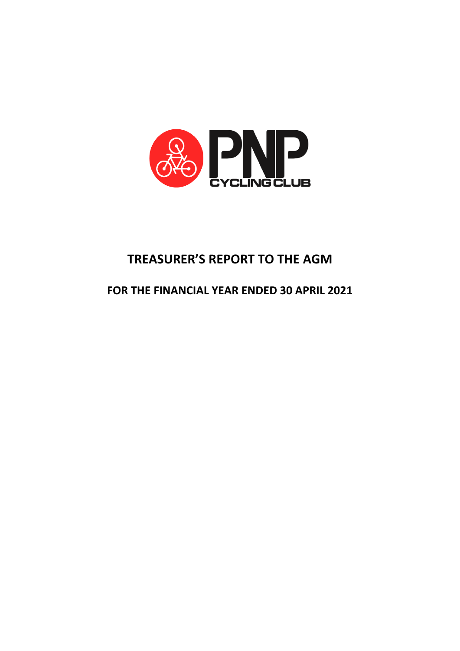

# **TREASURER'S REPORT TO THE AGM**

## **FOR THE FINANCIAL YEAR ENDED 30 APRIL 2021**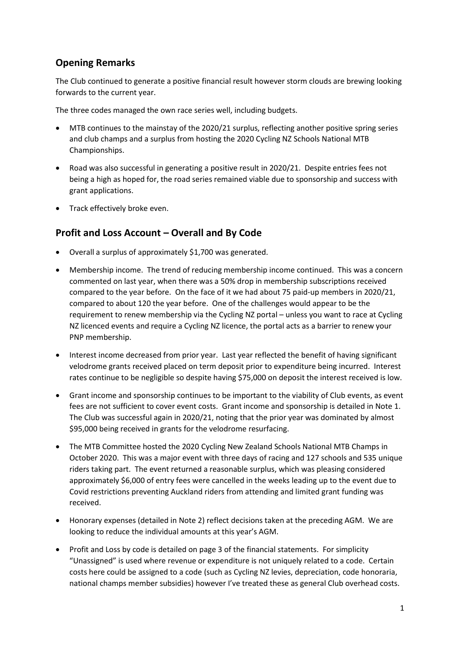### **Opening Remarks**

The Club continued to generate a positive financial result however storm clouds are brewing looking forwards to the current year.

The three codes managed the own race series well, including budgets.

- MTB continues to the mainstay of the 2020/21 surplus, reflecting another positive spring series and club champs and a surplus from hosting the 2020 Cycling NZ Schools National MTB Championships.
- Road was also successful in generating a positive result in 2020/21. Despite entries fees not being a high as hoped for, the road series remained viable due to sponsorship and success with grant applications.
- Track effectively broke even.

#### **Profit and Loss Account – Overall and By Code**

- Overall a surplus of approximately \$1,700 was generated.
- Membership income. The trend of reducing membership income continued. This was a concern commented on last year, when there was a 50% drop in membership subscriptions received compared to the year before. On the face of it we had about 75 paid-up members in 2020/21, compared to about 120 the year before. One of the challenges would appear to be the requirement to renew membership via the Cycling NZ portal – unless you want to race at Cycling NZ licenced events and require a Cycling NZ licence, the portal acts as a barrier to renew your PNP membership.
- Interest income decreased from prior year. Last year reflected the benefit of having significant velodrome grants received placed on term deposit prior to expenditure being incurred. Interest rates continue to be negligible so despite having \$75,000 on deposit the interest received is low.
- Grant income and sponsorship continues to be important to the viability of Club events, as event fees are not sufficient to cover event costs. Grant income and sponsorship is detailed in Note 1. The Club was successful again in 2020/21, noting that the prior year was dominated by almost \$95,000 being received in grants for the velodrome resurfacing.
- The MTB Committee hosted the 2020 Cycling New Zealand Schools National MTB Champs in October 2020. This was a major event with three days of racing and 127 schools and 535 unique riders taking part. The event returned a reasonable surplus, which was pleasing considered approximately \$6,000 of entry fees were cancelled in the weeks leading up to the event due to Covid restrictions preventing Auckland riders from attending and limited grant funding was received.
- Honorary expenses (detailed in Note 2) reflect decisions taken at the preceding AGM. We are looking to reduce the individual amounts at this year's AGM.
- Profit and Loss by code is detailed on page 3 of the financial statements. For simplicity "Unassigned" is used where revenue or expenditure is not uniquely related to a code. Certain costs here could be assigned to a code (such as Cycling NZ levies, depreciation, code honoraria, national champs member subsidies) however I've treated these as general Club overhead costs.